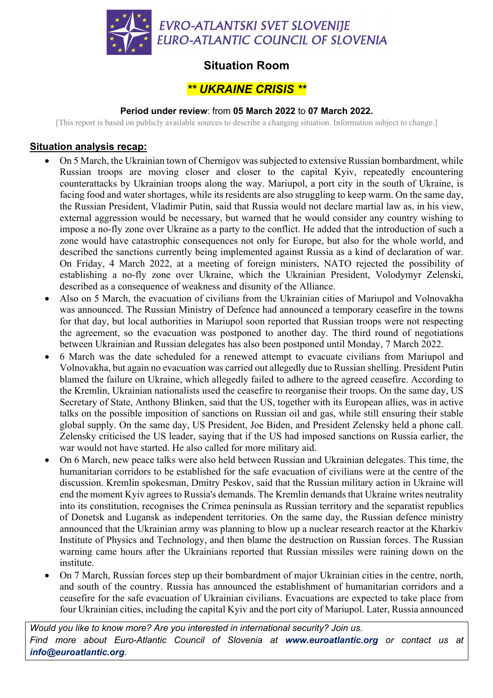

## **Situation Room**

# *\*\* UKRAINE CRISIS \*\**

#### **Period under review**: from **05 March 2022** to **07 March 2022.**

[This report is based on publicly available sources to describe a changing situation. Information subject to change.]

### **Situation analysis recap:**

- On 5 March, the Ukrainian town of Chernigov was subjected to extensive Russian bombardment, while Russian troops are moving closer and closer to the capital Kyiv, repeatedly encountering counterattacks by Ukrainian troops along the way. Mariupol, a port city in the south of Ukraine, is facing food and water shortages, while its residents are also struggling to keep warm. On the same day, the Russian President, Vladimir Putin, said that Russia would not declare martial law as, in his view, external aggression would be necessary, but warned that he would consider any country wishing to impose a no-fly zone over Ukraine as a party to the conflict. He added that the introduction of such a zone would have catastrophic consequences not only for Europe, but also for the whole world, and described the sanctions currently being implemented against Russia as a kind of declaration of war. On Friday, 4 March 2022, at a meeting of foreign ministers, NATO rejected the possibility of establishing a no-fly zone over Ukraine, which the Ukrainian President, Volodymyr Zelenski, described as a consequence of weakness and disunity of the Alliance.
- Also on 5 March, the evacuation of civilians from the Ukrainian cities of Mariupol and Volnovakha was announced. The Russian Ministry of Defence had announced a temporary ceasefire in the towns for that day, but local authorities in Mariupol soon reported that Russian troops were not respecting the agreement, so the evacuation was postponed to another day. The third round of negotiations between Ukrainian and Russian delegates has also been postponed until Monday, 7 March 2022.
- 6 March was the date scheduled for a renewed attempt to evacuate civilians from Mariupol and Volnovakha, but again no evacuation was carried out allegedly due to Russian shelling. President Putin blamed the failure on Ukraine, which allegedly failed to adhere to the agreed ceasefire. According to the Kremlin, Ukrainian nationalists used the ceasefire to reorganise their troops. On the same day, US Secretary of State, Anthony Blinken, said that the US, together with its European allies, was in active talks on the possible imposition of sanctions on Russian oil and gas, while still ensuring their stable global supply. On the same day, US President, Joe Biden, and President Zelensky held a phone call. Zelensky criticised the US leader, saying that if the US had imposed sanctions on Russia earlier, the war would not have started. He also called for more military aid.
- On 6 March, new peace talks were also held between Russian and Ukrainian delegates. This time, the humanitarian corridors to be established for the safe evacuation of civilians were at the centre of the discussion. Kremlin spokesman, Dmitry Peskov, said that the Russian military action in Ukraine will end the moment Kyiv agrees to Russia's demands. The Kremlin demands that Ukraine writes neutrality into its constitution, recognises the Crimea peninsula as Russian territory and the separatist republics of Donetsk and Lugansk as independent territories. On the same day, the Russian defence ministry announced that the Ukrainian army was planning to blow up a nuclear research reactor at the Kharkiv Institute of Physics and Technology, and then blame the destruction on Russian forces. The Russian warning came hours after the Ukrainians reported that Russian missiles were raining down on the institute.
- On 7 March, Russian forces step up their bombardment of major Ukrainian cities in the centre, north, and south of the country. Russia has announced the establishment of humanitarian corridors and a ceasefire for the safe evacuation of Ukrainian civilians. Evacuations are expected to take place from four Ukrainian cities, including the capital Kyiv and the port city of Mariupol. Later, Russia announced

*Would you like to know more? Are you interested in international security? Join us. Find more about Euro-Atlantic Council of Slovenia at www.euroatlantic.org or contact us at info@euroatlantic.org.*